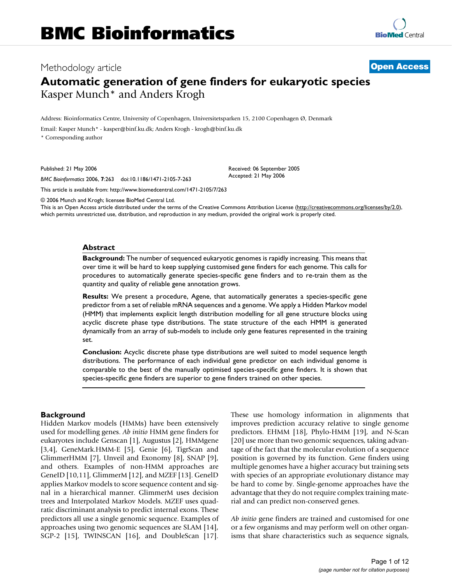# Methodology article **[Open Access](http://www.biomedcentral.com/info/about/charter/)**

# **Automatic generation of gene finders for eukaryotic species** Kasper Munch\* and Anders Krogh

Address: Bioinformatics Centre, University of Copenhagen, Universitetsparken 15, 2100 Copenhagen Ø, Denmark

Email: Kasper Munch\* - kasper@binf.ku.dk; Anders Krogh - krogh@binf.ku.dk

\* Corresponding author

Published: 21 May 2006

*BMC Bioinformatics* 2006, **7**:263 doi:10.1186/1471-2105-7-263

[This article is available from: http://www.biomedcentral.com/1471-2105/7/263](http://www.biomedcentral.com/1471-2105/7/263)

© 2006 Munch and Krogh; licensee BioMed Central Ltd.

This is an Open Access article distributed under the terms of the Creative Commons Attribution License [\(http://creativecommons.org/licenses/by/2.0\)](http://creativecommons.org/licenses/by/2.0), which permits unrestricted use, distribution, and reproduction in any medium, provided the original work is properly cited.

Received: 06 September 2005 Accepted: 21 May 2006

#### **Abstract**

**Background:** The number of sequenced eukaryotic genomes is rapidly increasing. This means that over time it will be hard to keep supplying customised gene finders for each genome. This calls for procedures to automatically generate species-specific gene finders and to re-train them as the quantity and quality of reliable gene annotation grows.

**Results:** We present a procedure, Agene, that automatically generates a species-specific gene predictor from a set of reliable mRNA sequences and a genome. We apply a Hidden Markov model (HMM) that implements explicit length distribution modelling for all gene structure blocks using acyclic discrete phase type distributions. The state structure of the each HMM is generated dynamically from an array of sub-models to include only gene features represented in the training set.

**Conclusion:** Acyclic discrete phase type distributions are well suited to model sequence length distributions. The performance of each individual gene predictor on each individual genome is comparable to the best of the manually optimised species-specific gene finders. It is shown that species-specific gene finders are superior to gene finders trained on other species.

#### **Background**

Hidden Markov models (HMMs) have been extensively used for modelling genes. *Ab initio* HMM gene finders for eukaryotes include Genscan [1], Augustus [2], HMMgene [3,4], GeneMark.HMM-E [5], Genie [6], TigrScan and GlimmerHMM [7], Unveil and Exonomy [8], SNAP [9], and others. Examples of non-HMM approaches are GeneID [10,11], GlimmerM [12], and MZEF [13]. GenelD applies Markov models to score sequence content and signal in a hierarchical manner. GlimmerM uses decision trees and Interpolated Markov Models. MZEF uses quadratic discriminant analysis to predict internal exons. These predictors all use a single genomic sequence. Examples of approaches using two genomic sequences are SLAM [14], SGP-2 [15], TWINSCAN [16], and DoubleScan [17]. These use homology information in alignments that improves prediction accuracy relative to single genome predictors. EHMM [18], Phylo-HMM [19], and N-Scan [20] use more than two genomic sequences, taking advantage of the fact that the molecular evolution of a sequence position is governed by its function. Gene finders using multiple genomes have a higher accuracy but training sets with species of an appropriate evolutionary distance may be hard to come by. Single-genome approaches have the advantage that they do not require complex training material and can predict non-conserved genes.

*Ab initio* gene finders are trained and customised for one or a few organisms and may perform well on other organisms that share characteristics such as sequence signals,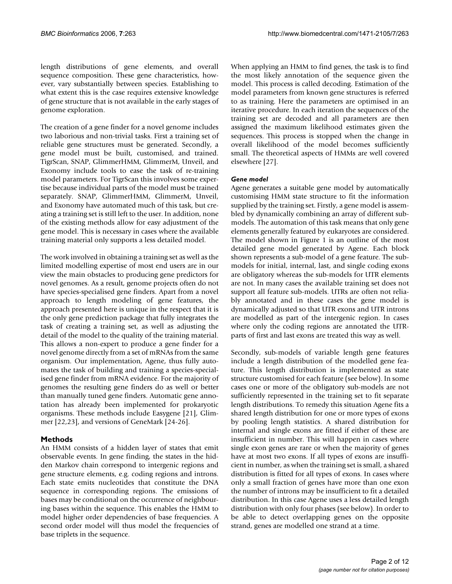length distributions of gene elements, and overall sequence composition. These gene characteristics, however, vary substantially between species. Establishing to what extent this is the case requires extensive knowledge of gene structure that is not available in the early stages of genome exploration.

The creation of a gene finder for a novel genome includes two laborious and non-trivial tasks. First a training set of reliable gene structures must be generated. Secondly, a gene model must be built, customised, and trained. TigrScan, SNAP, GlimmerHMM, GlimmerM, Unveil, and Exonomy include tools to ease the task of re-training model parameters. For TigrScan this involves some expertise because individual parts of the model must be trained separately. SNAP, GlimmerHMM, GlimmerM, Unveil, and Exonomy have automated much of this task, but creating a training set is still left to the user. In addition, none of the existing methods allow for easy adjustment of the gene model. This is necessary in cases where the available training material only supports a less detailed model.

The work involved in obtaining a training set as well as the limited modelling expertise of most end users are in our view the main obstacles to producing gene predictors for novel genomes. As a result, genome projects often do not have species-specialised gene finders. Apart from a novel approach to length modeling of gene features, the approach presented here is unique in the respect that it is the only gene prediction package that fully integrates the task of creating a training set, as well as adjusting the detail of the model to the quality of the training material. This allows a non-expert to produce a gene finder for a novel genome directly from a set of mRNAs from the same organism. Our implementation, Agene, thus fully automates the task of building and training a species-specialised gene finder from mRNA evidence. For the majority of genomes the resulting gene finders do as well or better than manually tuned gene finders. Automatic gene annotation has already been implemented for prokaryotic organisms. These methods include Easygene [21], Glimmer [22,23], and versions of GeneMark [24-26].

#### **Methods**

An HMM consists of a hidden layer of states that emit observable events. In gene finding, the states in the hidden Markov chain correspond to intergenic regions and gene structure elements, e.g. coding regions and introns. Each state emits nucleotides that constitute the DNA sequence in corresponding regions. The emissions of bases may be conditional on the occurrence of neighbouring bases within the sequence. This enables the HMM to model higher order dependencies of base frequencies. A second order model will thus model the frequencies of base triplets in the sequence.

When applying an HMM to find genes, the task is to find the most likely annotation of the sequence given the model. This process is called decoding. Estimation of the model parameters from known gene structures is referred to as training. Here the parameters are optimised in an iterative procedure. In each iteration the sequences of the training set are decoded and all parameters are then assigned the maximum likelihood estimates given the sequences. This process is stopped when the change in overall likelihood of the model becomes sufficiently small. The theoretical aspects of HMMs are well covered elsewhere [27].

#### *Gene model*

Agene generates a suitable gene model by automatically customising HMM state structure to fit the information supplied by the training set. Firstly, a gene model is assembled by dynamically combining an array of different submodels. The automation of this task means that only gene elements generally featured by eukaryotes are considered. The model shown in Figure 1 is an outline of the most detailed gene model generated by Agene. Each block shown represents a sub-model of a gene feature. The submodels for initial, internal, last, and single coding exons are obligatory whereas the sub-models for UTR elements are not. In many cases the available training set does not support all feature sub-models. UTRs are often not reliably annotated and in these cases the gene model is dynamically adjusted so that UTR exons and UTR introns are modelled as part of the intergenic region. In cases where only the coding regions are annotated the UTRparts of first and last exons are treated this way as well.

Secondly, sub-models of variable length gene features include a length distribution of the modelled gene feature. This length distribution is implemented as state structure customised for each feature (see below). In some cases one or more of the obligatory sub-models are not sufficiently represented in the training set to fit separate length distributions. To remedy this situation Agene fits a shared length distribution for one or more types of exons by pooling length statistics. A shared distribution for internal and single exons are fitted if either of these are insufficient in number. This will happen in cases where single exon genes are rare or when the majority of genes have at most two exons. If all types of exons are insufficient in number, as when the training set is small, a shared distribution is fitted for all types of exons. In cases where only a small fraction of genes have more than one exon the number of introns may be insufficient to fit a detailed distribution. In this case Agene uses a less detailed length distribution with only four phases (see below). In order to be able to detect overlapping genes on the opposite strand, genes are modelled one strand at a time.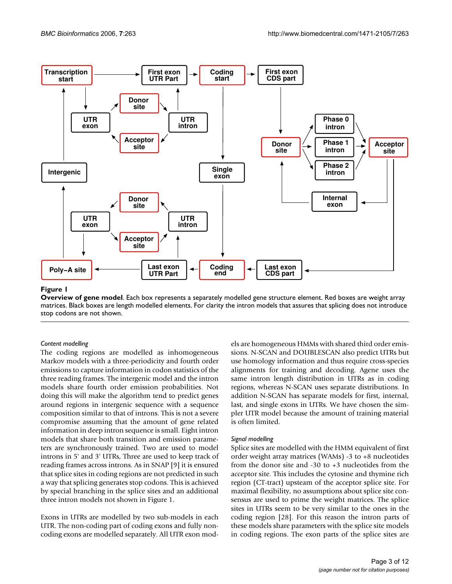

#### **Figure 1**

**Overview of gene model**. Each box represents a separately modelled gene structure element. Red boxes are weight array matrices. Black boxes are length modelled elements. For clarity the intron models that assures that splicing does not introduce stop codons are not shown.

#### *Content modelling*

The coding regions are modelled as inhomogeneous Markov models with a three-periodicity and fourth order emissions to capture information in codon statistics of the three reading frames. The intergenic model and the intron models share fourth order emission probabilities. Not doing this will make the algorithm tend to predict genes around regions in intergenic sequence with a sequence composition similar to that of introns. This is not a severe compromise assuming that the amount of gene related information in deep intron sequence is small. Eight intron models that share both transition and emission parameters are synchronously trained. Two are used to model introns in 5' and 3' UTRs, Three are used to keep track of reading frames across introns. As in SNAP [9] it is ensured that splice sites in coding regions are not predicted in such a way that splicing generates stop codons. This is achieved by special branching in the splice sites and an additional three intron models not shown in Figure 1.

Exons in UTRs are modelled by two sub-models in each UTR. The non-coding part of coding exons and fully noncoding exons are modelled separately. All UTR exon models are homogeneous HMMs with shared third order emissions. N-SCAN and DOUBLESCAN also predict UTRs but use homology information and thus require cross-species alignments for training and decoding. Agene uses the same intron length distribution in UTRs as in coding regions, whereas N-SCAN uses separate distributions. In addition N-SCAN has separate models for first, internal, last, and single exons in UTRs. We have chosen the simpler UTR model because the amount of training material is often limited.

#### *Signal modelling*

Splice sites are modelled with the HMM equivalent of first order weight array matrices (WAMs) -3 to +8 nucleotides from the donor site and -30 to +3 nucleotides from the acceptor site. This includes the cytosine and thymine rich region (CT-tract) upsteam of the acceptor splice site. For maximal flexibility, no assumptions about splice site consensus are used to prime the weight matrices. The splice sites in UTRs seem to be very similar to the ones in the coding region [28]. For this reason the intron parts of these models share parameters with the splice site models in coding regions. The exon parts of the splice sites are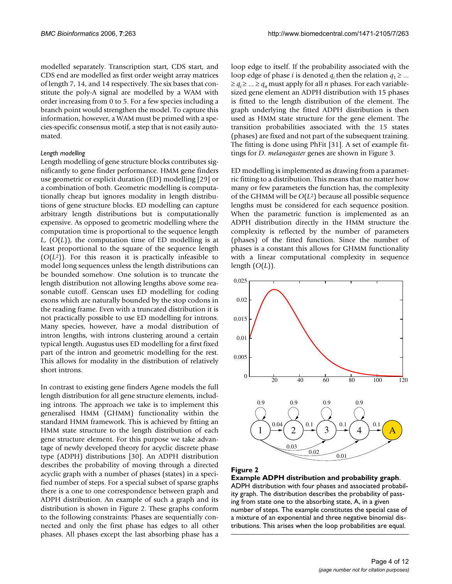modelled separately. Transcription start, CDS start, and CDS end are modelled as first order weight array matrices of length 7, 14, and 14 respectively. The six bases that constitute the poly-A signal are modelled by a WAM with order increasing from 0 to 5. For a few species including a branch point would strengthen the model. To capture this information, however, a WAM must be primed with a species-specific consensus motif, a step that is not easily automated.

#### *Length modelling*

Length modelling of gene structure blocks contributes significantly to gene finder performance. HMM gene finders use geometric or explicit duration (ED) modelling [29] or a combination of both. Geometric modelling is computationally cheap but ignores modality in length distributions of gene structure blocks. ED modelling can capture arbitrary length distributions but is computationally expensive. As opposed to geometric modelling where the computation time is proportional to the sequence length *L*, (*O*(*L*)), the computation time of ED modelling is at least proportional to the square of the sequence length  $(O(L<sup>2</sup>))$ . For this reason it is practically infeasible to model long sequences unless the length distributions can be bounded somehow. One solution is to truncate the length distribution not allowing lengths above some reasonable cutoff. Genscan uses ED modelling for coding exons which are naturally bounded by the stop codons in the reading frame. Even with a truncated distribution it is not practically possible to use ED modelling for introns. Many species, however, have a modal distribution of intron lengths, with introns clustering around a certain typical length. Augustus uses ED modelling for a first fixed part of the intron and geometric modelling for the rest. This allows for modality in the distribution of relatively short introns.

In contrast to existing gene finders Agene models the full length distribution for all gene structure elements, including introns. The approach we take is to implement this generalised HMM (GHMM) functionality within the standard HMM framework. This is achieved by fitting an HMM state structure to the length distribution of each gene structure element. For this purpose we take advantage of newly developed theory for acyclic discrete phase type (ADPH) distributions [30]. An ADPH distribution describes the probability of moving through a directed acyclic graph with a number of phases (states) in a specified number of steps. For a special subset of sparse graphs there is a one to one correspondence between graph and ADPH distribution. An example of such a graph and its distribution is shown in Figure 2. These graphs conform to the following constraints: Phases are sequentially connected and only the first phase has edges to all other phases. All phases except the last absorbing phase has a

loop edge to itself. If the probability associated with the loop edge of phase *i* is denoted  $q_i$  then the relation  $q_1 \geq ...$  $\geq q_i \geq ... \geq q_n$  must apply for all *n* phases. For each variablesized gene element an ADPH distribution with 15 phases is fitted to the length distribution of the element. The graph underlying the fitted ADPH distribution is then used as HMM state structure for the gene element. The transition probabilities associated with the 15 states (phases) are fixed and not part of the subsequent training. The fitting is done using PhFit [31]. A set of example fittings for *D. melanogaster* genes are shown in Figure 3.

ED modelling is implemented as drawing from a parametric fitting to a distribution. This means that no matter how many or few parameters the function has, the complexity of the GHMM will be *O*(*L*2) because all possible sequence lengths must be considered for each sequence position. When the parametric function is implemented as an ADPH distribution directly in the HMM structure the complexity is reflected by the number of parameters (phases) of the fitted function. Since the number of phases is a constant this allows for GHMM functionality with a linear computational complexity in sequence length  $(O(L))$ .



#### **Figure 2**

**Example ADPH distribution and probability graph**. ADPH distribution with four phases and associated probability graph. The distribution describes the probability of passing from state one to the absorbing state, A, in a given number of steps. The example constitutes the special case of a mixture of an exponential and three negative binomial distributions. This arises when the loop probabilities are equal.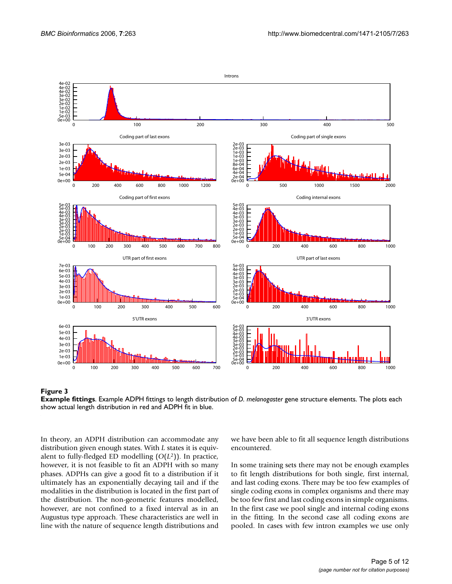

#### **Figure 3**

**Example fittings**. Example ADPH fittings to length distribution of *D. melanogaster* gene structure elements. The plots each show actual length distribution in red and ADPH fit in blue.

In theory, an ADPH distribution can accommodate any distribution given enough states. With *L* states it is equivalent to fully-fledged ED modelling (*O*(*L*2)). In practice, however, it is not feasible to fit an ADPH with so many phases. ADPHs can give a good fit to a distribution if it ultimately has an exponentially decaying tail and if the modalities in the distribution is located in the first part of the distribution. The non-geometric features modelled, however, are not confined to a fixed interval as in an Augustus type approach. These characteristics are well in line with the nature of sequence length distributions and we have been able to fit all sequence length distributions encountered.

In some training sets there may not be enough examples to fit length distributions for both single, first internal, and last coding exons. There may be too few examples of single coding exons in complex organisms and there may be too few first and last coding exons in simple organisms. In the first case we pool single and internal coding exons in the fitting. In the second case all coding exons are pooled. In cases with few intron examples we use only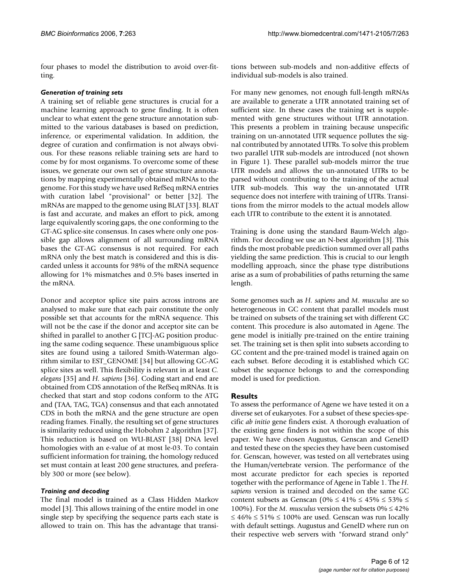four phases to model the distribution to avoid over-fitting.

#### *Generation of training sets*

A training set of reliable gene structures is crucial for a machine learning approach to gene finding. It is often unclear to what extent the gene structure annotation submitted to the various databases is based on prediction, inference, or experimental validation. In addition, the degree of curation and confirmation is not always obvious. For these reasons reliable training sets are hard to come by for most organisms. To overcome some of these issues, we generate our own set of gene structure annotations by mapping experimentally obtained mRNAs to the genome. For this study we have used RefSeq mRNA entries with curation label "provisional" or better [32]. The mRNAs are mapped to the genome using BLAT [33]. BLAT is fast and accurate, and makes an effort to pick, among large equivalently scoring gaps, the one conforming to the GT-AG splice-site consensus. In cases where only one possible gap allows alignment of all surrounding mRNA bases the GT-AG consensus is not required. For each mRNA only the best match is considered and this is discarded unless it accounts for 98% of the mRNA sequence allowing for 1% mismatches and 0.5% bases inserted in the mRNA.

Donor and acceptor splice site pairs across introns are analysed to make sure that each pair constitute the only possible set that accounts for the mRNA sequence. This will not be the case if the donor and acceptor site can be shifted in parallel to another G [TC]-AG position producing the same coding sequence. These unambiguous splice sites are found using a tailored Smith-Waterman algorithm similar to EST\_GENOME [34] but allowing GC-AG splice sites as well. This flexibility is relevant in at least *C. elegans* [35] and *H. sapiens* [36]. Coding start and end are obtained from CDS annotation of the RefSeq mRNAs. It is checked that start and stop codons conform to the ATG and (TAA, TAG, TGA) consensus and that each annotated CDS in both the mRNA and the gene structure are open reading frames. Finally, the resulting set of gene structures is similarity reduced using the Hobohm 2 algorithm [37]. This reduction is based on WU-BLAST [38] DNA level homologies with an e-value of at most le-03. To contain sufficient information for training, the homology reduced set must contain at least 200 gene structures, and preferably 300 or more (see below).

#### *Training and decoding*

The final model is trained as a Class Hidden Markov model [3]. This allows training of the entire model in one single step by specifying the sequence parts each state is allowed to train on. This has the advantage that transitions between sub-models and non-additive effects of individual sub-models is also trained.

For many new genomes, not enough full-length mRNAs are available to generate a UTR annotated training set of sufficient size. In these cases the training set is supplemented with gene structures without UTR annotation. This presents a problem in training because unspecific training on un-annotated UTR sequence pollutes the signal contributed by annotated UTRs. To solve this problem two parallel UTR sub-models are introduced (not shown in Figure 1). These parallel sub-models mirror the true UTR models and allows the un-annotated UTRs to be parsed without contributing to the training of the actual UTR sub-models. This way the un-annotated UTR sequence does not interfere with training of UTRs. Transitions from the mirror models to the actual models allow each UTR to contribute to the extent it is annotated.

Training is done using the standard Baum-Welch algorithm. For decoding we use an N-best algorithm [3]. This finds the most probable prediction summed over all paths yielding the same prediction. This is crucial to our length modelling approach, since the phase type distributions arise as a sum of probabilities of paths returning the same length.

Some genomes such as *H. sapiens* and *M. musculus* are so heterogeneous in GC content that parallel models must be trained on subsets of the training set with different GC content. This procedure is also automated in Agene. The gene model is initially pre-trained on the entire training set. The training set is then split into subsets according to GC content and the pre-trained model is trained again on each subset. Before decoding it is established which GC subset the sequence belongs to and the corresponding model is used for prediction.

#### **Results**

To assess the performance of Agene we have tested it on a diverse set of eukaryotes. For a subset of these species-specific *ab initio* gene finders exist. A thorough evaluation of the existing gene finders is not within the scope of this paper. We have chosen Augustus, Genscan and GeneID and tested these on the species they have been customised for. Genscan, however, was tested on all vertebrates using the Human/vertebrate version. The performance of the most accurate predictor for each species is reported together with the performance of Agene in Table 1. The *H. sapiens* version is trained and decoded on the same GC content subsets as Genscan ( $0\% \le 41\% \le 45\% \le 53\% \le$ 100%). For the *M. musculus* version the subsets 0% ≤ 42% ≤ 46% ≤ 51% ≤ 100% are used. Genscan was run locally with default settings. Augustus and GenelD where run on their respective web servers with "forward strand only"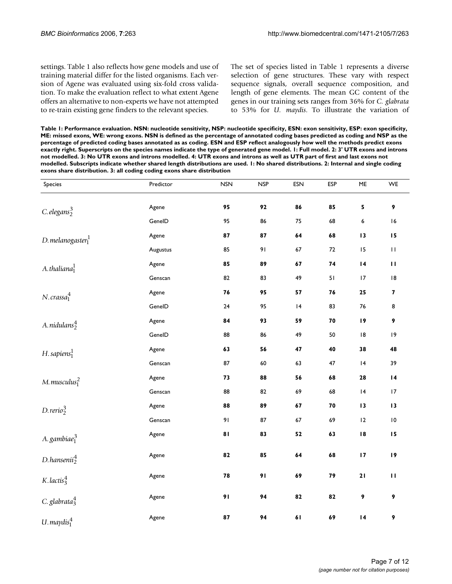settings. Table 1 also reflects how gene models and use of training material differ for the listed organisms. Each version of Agene was evaluated using six-fold cross validation. To make the evaluation reflect to what extent Agene offers an alternative to non-experts we have not attempted to re-train existing gene finders to the relevant species.

The set of species listed in Table 1 represents a diverse selection of gene structures. These vary with respect sequence signals, overall sequence composition, and length of gene elements. The mean GC content of the genes in our training sets ranges from 36% for *C. glabrata* to 53% for *U. maydis*. To illustrate the variation of

**Table 1: Performance evaluation. NSN: nucleotide sensitivity, NSP: nucleotide specificity, ESN: exon sensitivity, ESP: exon specificity, ME: missed exons, WE: wrong exons. NSN is defined as the percentage of annotated coding bases predicted as coding and NSP as the percentage of predicted coding bases annotated as as coding. ESN and ESP reflect analogously how well the methods predict exons exactly right. Superscripts on the species names indicate the type of generated gene model. 1: Full model. 2: 3' UTR exons and introns not modelled. 3: No UTR exons and introns modelled. 4: UTR exons and introns as well as UTR part of first and last exons not modelled. Subscripts indicate whether shared length distributions are used. 1: No shared distributions. 2: Internal and single coding exons share distribution. 3: all coding coding exons share distribution**

| Species                               | Predictor | <b>NSN</b>     | <b>NSP</b> | <b>ESN</b> | <b>ESP</b> | $ME$            | WE                      |
|---------------------------------------|-----------|----------------|------------|------------|------------|-----------------|-------------------------|
| C. elegans <sub>2</sub> <sup>3</sup>  | Agene     | 95             | 92         | 86         | 85         | 5               | 9                       |
|                                       | GenelD    | 95             | 86         | 75         | 68         | 6               | 16                      |
| $D.$ <i>melanogaster</i> <sup>1</sup> | Agene     | 87             | 87         | 64         | 68         | 13              | 15                      |
|                                       | Augustus  | 85             | 91         | 67         | $72\,$     | 15              | $\mathbf{H}$            |
| A. thaliana <sub>1</sub> <sup>1</sup> | Agene     | 85             | 89         | 67         | 74         | $\overline{14}$ | $\mathbf{H}$            |
|                                       | Genscan   | 82             | 83         | 49         | 51         | 17              | 8                       |
| N. crassa <sub>1</sub> <sup>4</sup>   | Agene     | 76             | 95         | 57         | 76         | 25              | $\overline{\mathbf{z}}$ |
|                                       | GenelD    | 24             | 95         | 4          | 83         | $76\,$          | 8                       |
| A. nidulans $\frac{4}{2}$             | Agene     | 84             | 93         | 59         | 70         | 19              | 9                       |
|                                       | GenelD    | 88             | 86         | 49         | 50         | 8               | 9                       |
| $H$ . sapiens $_1^1$                  | Agene     | 63             | 56         | 47         | 40         | 38              | 48                      |
|                                       | Genscan   | 87             | 60         | 63         | 47         | 4               | 39                      |
| $M.$ musculus $_1^2$                  | Agene     | 73             | 88         | 56         | 68         | 28              | $\overline{14}$         |
|                                       | Genscan   | 88             | 82         | 69         | 68         | 4               | 17                      |
| D. rerio <sub>2</sub> <sup>3</sup>    | Agene     | 88             | 89         | 67         | 70         | 13              | 13                      |
|                                       | Genscan   | 91             | 87         | 67         | 69         | 12              | $\overline{10}$         |
| A. gambiae $^3_1$                     | Agene     | 8 <sub>1</sub> | 83         | 52         | 63         | 18              | 15                      |
| D.hansenii <sub>2</sub> <sup>4</sup>  | Agene     | 82             | 85         | 64         | 68         | 17              | 19                      |
| $K$ .lactis $\frac{4}{3}$             | Agene     | 78             | 91         | 69         | 79         | 21              | $\mathbf{H}$            |
| C. glabrata $\frac{4}{3}$             | Agene     | 91             | 94         | 82         | 82         | 9               | 9                       |
| $U$ . maydis $_1^4$                   | Agene     | 87             | 94         | 61         | 69         | $\overline{14}$ | 9                       |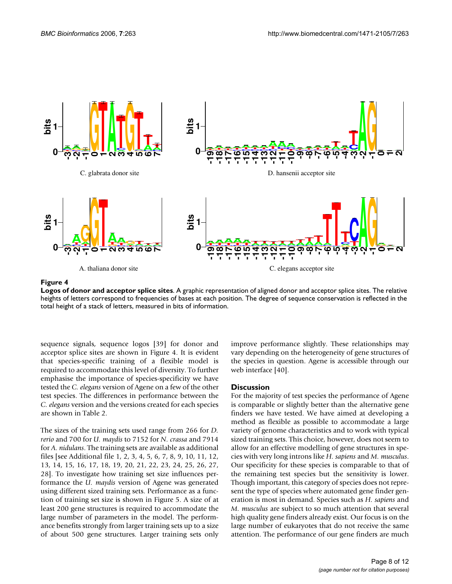

**Logos of donor and acceptor splice sites**. A graphic representation of aligned donor and acceptor splice sites. The relative heights of letters correspond to frequencies of bases at each position. The degree of sequence conservation is reflected in the total height of a stack of letters, measured in bits of information.

sequence signals, sequence logos [39] for donor and acceptor splice sites are shown in Figure 4. It is evident that species-specific training of a flexible model is required to accommodate this level of diversity. To further emphasise the importance of species-specificity we have tested the *C. elegans* version of Agene on a few of the other test species. The differences in performance between the *C. elegans* version and the versions created for each species are shown in Table 2.

The sizes of the training sets used range from 266 for *D. rerio* and 700 for *U. maydis* to 7152 for *N. crassa* and 7914 for *A. nidulans*. The training sets are available as additional files [see Additional file 1, 2, 3, 4, 5, 6, 7, 8, 9, 10, 11, 12, 13, 14, 15, 16, 17, 18, 19, 20, 21, 22, 23, 24, 25, 26, 27, 28]. To investigate how training set size influences performance the *U. maydis* version of Agene was generated using different sized training sets. Performance as a function of training set size is shown in Figure 5. A size of at least 200 gene structures is required to accommodate the large number of parameters in the model. The performance benefits strongly from larger training sets up to a size of about 500 gene structures. Larger training sets only improve performance slightly. These relationships may vary depending on the heterogeneity of gene structures of the species in question. Agene is accessible through our web interface [40].

#### **Discussion**

For the majority of test species the performance of Agene is comparable or slightly better than the alternative gene finders we have tested. We have aimed at developing a method as flexible as possible to accommodate a large variety of genome characteristics and to work with typical sized training sets. This choice, however, does not seem to allow for an effective modelling of gene structures in species with very long introns like *H. sapiens* and *M. musculus*. Our specificity for these species is comparable to that of the remaining test species but the sensitivity is lower. Though important, this category of species does not represent the type of species where automated gene finder generation is most in demand. Species such as *H. sapiens* and *M. musculus* are subject to so much attention that several high quality gene finders already exist. Our focus is on the large number of eukaryotes that do not receive the same attention. The performance of our gene finders are much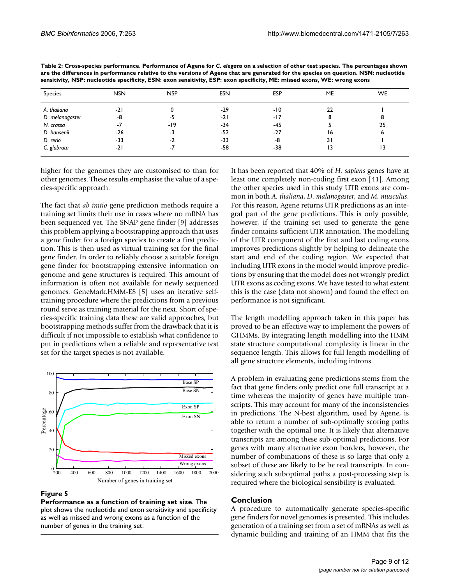| <b>Species</b>  | <b>NSN</b> | <b>NSP</b> | <b>ESN</b> | ESP   | ME | <b>WE</b> |
|-----------------|------------|------------|------------|-------|----|-----------|
| A. thaliana     | $-21$      |            | $-29$      | -10   | 22 |           |
| D. melanogaster | -8         | -5         | $-21$      | -17   | 8  |           |
| N. crassa       | -7         | -19        | $-34$      | $-45$ |    | 25        |
| D. hansenii     | $-26$      | -3         | $-52$      | $-27$ | 16 |           |
| D. rerio        | $-33$      | $-2$       | $-33$      | -8    | 31 |           |
| C. glabrata     | $-21$      | -7         | $-58$      | -38   | 13 | 13        |

**Table 2: Cross-species performance. Performance of Agene for** *C. elegans* **on a selection of other test species. The percentages shown are the differences in performance relative to the versions of Agene that are generated for the species on question. NSN: nucleotide sensitivity, NSP: nucleotide specificity, ESN: exon sensitivity, ESP: exon specificity, ME: missed exons, WE: wrong exons**

higher for the genomes they are customised to than for other genomes. These results emphasise the value of a species-specific approach.

The fact that *ab initio* gene prediction methods require a training set limits their use in cases where no mRNA has been sequenced yet. The SNAP gene finder [9] addresses this problem applying a bootstrapping approach that uses a gene finder for a foreign species to create a first prediction. This is then used as virtual training set for the final gene finder. In order to reliably choose a suitable foreign gene finder for bootstrapping extensive information on genome and gene structures is required. This amount of information is often not available for newly sequenced genomes. GeneMark.HMM-ES [5] uses an iterative selftraining procedure where the predictions from a previous round serve as training material for the next. Short of species-specific training data these are valid approaches, but bootstrapping methods suffer from the drawback that it is difficult if not impossible to establish what confidence to put in predictions when a reliable and representative test set for the target species is not available.



#### **Figure 5**

**Performance as a function of training set size**. The plot shows the nucleotide and exon sensitivity and specificity as well as missed and wrong exons as a function of the number of genes in the training set.

It has been reported that 40% of *H. sapiens* genes have at least one completely non-coding first exon [41]. Among the other species used in this study UTR exons are common in both *A. thaliana*, *D. malanogaster*, and *M. musculus*. For this reason, Agene returns UTR predictions as an integral part of the gene predictions. This is only possible, however, if the training set used to generate the gene finder contains sufficient UTR annotation. The modelling of the UTR component of the first and last coding exons improves predictions slightly by helping to delineate the start and end of the coding region. We expected that including UTR exons in the model would improve predictions by ensuring that the model does not wrongly predict UTR exons as coding exons. We have tested to what extent this is the case (data not shown) and found the effect on performance is not significant.

The length modelling approach taken in this paper has proved to be an effective way to implement the powers of GHMMs. By integrating length modelling into the HMM state structure computational complexity is linear in the sequence length. This allows for full length modelling of all gene structure elements, including introns.

A problem in evaluating gene predictions stems from the fact that gene finders only predict one full transcript at a time whereas the majority of genes have multiple transcripts. This may account for many of the inconsistencies in predictions. The N-best algorithm, used by Agene, is able to return a number of sub-optimally scoring paths together with the optimal one. It is likely that alternative transcripts are among these sub-optimal predictions. For genes with many alternative exon borders, however, the number of combinations of these is so large that only a subset of these are likely to be be real transcripts. In considering such suboptimal paths a post-processing step is required where the biological sensibility is evaluated.

## **Conclusion**

A procedure to automatically generate species-specific gene finders for novel genomes is presented. This includes generation of a training set from a set of mRNAs as well as dynamic building and training of an HMM that fits the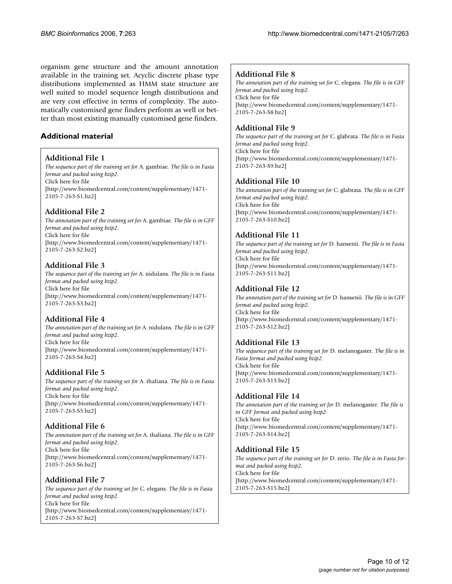organism gene structure and the amount annotation available in the training set. Acyclic discrete phase type distributions implemented as HMM state structure are well suited to model sequence length distributions and are very cost effective in terms of complexity. The automatically customised gene finders perform as well or better than most existing manually customised gene finders.

## **Additional material**

#### **Additional File 1**

*The sequence part of the training set for* A. gambiae*. The file is in Fasta format and packed using bzip2.* Click here for file

[\[http://www.biomedcentral.com/content/supplementary/1471-](http://www.biomedcentral.com/content/supplementary/1471-2105-7-263-S1.bz2) 2105-7-263-S1.bz2]

## **Additional File 2**

*The annotation part of the training set for* A. gambiae*. The file is in GFF format and packed using bzip2.* Click here for file [\[http://www.biomedcentral.com/content/supplementary/1471-](http://www.biomedcentral.com/content/supplementary/1471-2105-7-263-S2.bz2) 2105-7-263-S2.bz2]

## **Additional File 3**

*The sequence part of the training set for* A. nidulans*. The file is in Fasta format and packed using bzip2.* Click here for file [\[http://www.biomedcentral.com/content/supplementary/1471-](http://www.biomedcentral.com/content/supplementary/1471-2105-7-263-S3.bz2) 2105-7-263-S3.bz2]

## **Additional File 4**

*The annotation part of the training set for* A. nidulans*. The file is in GFF format and packed using bzip2.* Click here for file [\[http://www.biomedcentral.com/content/supplementary/1471-](http://www.biomedcentral.com/content/supplementary/1471-2105-7-263-S4.bz2) 2105-7-263-S4.bz2]

# **Additional File 5**

*The sequence part of the training set for* A. thaliana*. The file is in Fasta format and packed using bzip2.* Click here for file [\[http://www.biomedcentral.com/content/supplementary/1471-](http://www.biomedcentral.com/content/supplementary/1471-2105-7-263-S5.bz2) 2105-7-263-S5.bz2]

## **Additional File 6**

*The annotation part of the training set for* A. thaliana*. The file is in GFF format and packed using bzip2.* Click here for file [\[http://www.biomedcentral.com/content/supplementary/1471-](http://www.biomedcentral.com/content/supplementary/1471-2105-7-263-S6.bz2) 2105-7-263-S6.bz2]

## **Additional File 7**

*The sequence part of the training set for* C. elegans*. The file is in Fasta format and packed using bzip2.* Click here for file [\[http://www.biomedcentral.com/content/supplementary/1471-](http://www.biomedcentral.com/content/supplementary/1471-2105-7-263-S7.bz2) 2105-7-263-S7.bz2]

#### **Additional File 8**

*The annotation part of the training set for* C. elegans*. The file is in GFF format and packed using bzip2.* Click here for file [\[http://www.biomedcentral.com/content/supplementary/1471-](http://www.biomedcentral.com/content/supplementary/1471-2105-7-263-S8.bz2) 2105-7-263-S8.bz2]

## **Additional File 9**

*The sequence part of the training set for* C. glabrata*. The file is in Fasta format and packed using bzip2.* Click here for file [\[http://www.biomedcentral.com/content/supplementary/1471-](http://www.biomedcentral.com/content/supplementary/1471-2105-7-263-S9.bz2) 2105-7-263-S9.bz2]

#### **Additional File 10**

*The annotation part of the training set for* C. glabrata*. The file is in GFF format and packed using bzip2.* Click here for file [\[http://www.biomedcentral.com/content/supplementary/1471-](http://www.biomedcentral.com/content/supplementary/1471-2105-7-263-S10.bz2) 2105-7-263-S10.bz2]

## **Additional File 11**

*The sequence part of the training set for* D. hansenii*. The file is in Fasta format and packed using bzip2.* Click here for file [\[http://www.biomedcentral.com/content/supplementary/1471-](http://www.biomedcentral.com/content/supplementary/1471-2105-7-263-S11.bz2) 2105-7-263-S11.bz2]

## **Additional File 12**

*The annotation part of the training set for* D. hansenii*. The file is in GFF format and packed using bzip2.* Click here for file [\[http://www.biomedcentral.com/content/supplementary/1471-](http://www.biomedcentral.com/content/supplementary/1471-2105-7-263-S12.bz2) 2105-7-263-S12.bz2]

## **Additional File 13**

*The sequence part of the training set for* D. melanogaster*. The file is in Fasta format and packed using bzip2.* Click here for file [\[http://www.biomedcentral.com/content/supplementary/1471-](http://www.biomedcentral.com/content/supplementary/1471-2105-7-263-S13.bz2) 2105-7-263-S13.bz2]

## **Additional File 14**

*The annotation part of the training set for* D. melanogaster*. The file is in GFF format and packed using bzip2.* Click here for file [\[http://www.biomedcentral.com/content/supplementary/1471-](http://www.biomedcentral.com/content/supplementary/1471-2105-7-263-S14.bz2) 2105-7-263-S14.bz2]

#### **Additional File 15**

*The sequence part of the training set for* D. rerio*. The file is in Fasta format and packed using bzip2.* Click here for file [\[http://www.biomedcentral.com/content/supplementary/1471-](http://www.biomedcentral.com/content/supplementary/1471-2105-7-263-S15.bz2) 2105-7-263-S15.bz2]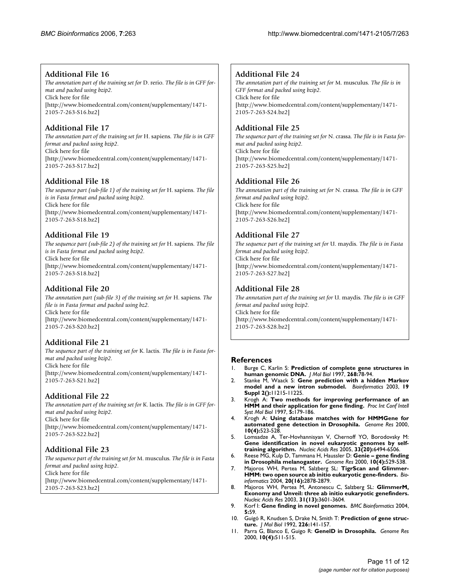## **Additional File 16**

*The annotation part of the training set for* D. rerio*. The file is in GFF format and packed using bzip2.* Click here for file [\[http://www.biomedcentral.com/content/supplementary/1471-](http://www.biomedcentral.com/content/supplementary/1471-2105-7-263-S16.bz2) 2105-7-263-S16.bz2]

# **Additional File 17**

*The annotation part of the training set for* H. sapiens*. The file is in GFF format and packed using bzip2.* Click here for file [\[http://www.biomedcentral.com/content/supplementary/1471-](http://www.biomedcentral.com/content/supplementary/1471-2105-7-263-S17.bz2) 2105-7-263-S17.bz2]

## **Additional File 18**

*The sequence part (sub-file 1) of the training set for H. sapiens. The file is in Fasta format and packed using bzip2.* Click here for file [\[http://www.biomedcentral.com/content/supplementary/1471-](http://www.biomedcentral.com/content/supplementary/1471-2105-7-263-S18.bz2) 2105-7-263-S18.bz2]

# **Additional File 19**

*The sequence part (sub-file 2) of the training set for* H. sapiens*. The file is in Fasta format and packed using bzip2.* Click here for file [\[http://www.biomedcentral.com/content/supplementary/1471-](http://www.biomedcentral.com/content/supplementary/1471-2105-7-263-S18.bz2) 2105-7-263-S18.bz2]

# **Additional File 20**

*The annotation part (sub-file 3) of the training set for H. sapiens. The file is in Fasta format and packed using bz2.* Click here for file [\[http://www.biomedcentral.com/content/supplementary/1471-](http://www.biomedcentral.com/content/supplementary/1471-2105-7-263-S20.bz2) 2105-7-263-S20.bz2]

# **Additional File 21**

*The sequence part of the training set for* K. lactis*. The file is in Fasta format and packed using bzip2.* Click here for file [\[http://www.biomedcentral.com/content/supplementary/1471-](http://www.biomedcentral.com/content/supplementary/1471-2105-7-263-S21.bz2) 2105-7-263-S21.bz2]

# **Additional File 22**

*The annotation part of the training set for* K. lactis*. The file is in GFF format and packed using bzip2.* Click here for file [\[http://www.biomedcentral.com/content/supplementary/1471-](http://www.biomedcentral.com/content/supplementary/1471-2105-7-263-S22.bz2) 2105-7-263-S22.bz2]

## **Additional File 23**

*The sequence part of the training set for* M. musculus*. The file is in Fasta format and packed using bzip2.* Click here for file [\[http://www.biomedcentral.com/content/supplementary/1471-](http://www.biomedcentral.com/content/supplementary/1471-2105-7-263-S23.bz2) 2105-7-263-S23.bz2]

## **Additional File 24**

*The annotation part of the training set for* M. musculus*. The file is in GFF format and packed using bzip2.* Click here for file [\[http://www.biomedcentral.com/content/supplementary/1471-](http://www.biomedcentral.com/content/supplementary/1471-2105-7-263-S24.bz2) 2105-7-263-S24.bz2]

## **Additional File 25**

*The sequence part of the training set for* N. crassa*. The file is in Fasta format and packed using bzip2.* Click here for file [\[http://www.biomedcentral.com/content/supplementary/1471-](http://www.biomedcentral.com/content/supplementary/1471-2105-7-263-S25.bz2) 2105-7-263-S25.bz2]

## **Additional File 26**

*The annotation part of the training set for* N. crassa*. The file is in GFF format and packed using bzip2.* Click here for file [\[http://www.biomedcentral.com/content/supplementary/1471-](http://www.biomedcentral.com/content/supplementary/1471-2105-7-263-S26.bz2) 2105-7-263-S26.bz2]

# **Additional File 27**

*The sequence part of the training set for* U. maydis*. The file is in Fasta format and packed using bzip2.* Click here for file [\[http://www.biomedcentral.com/content/supplementary/1471-](http://www.biomedcentral.com/content/supplementary/1471-2105-7-263-S27.bz2) 2105-7-263-S27.bz2]

# **Additional File 28**

*The annotation part of the training set for* U. maydis*. The file is in GFF format and packed using bzip2.* Click here for file [\[http://www.biomedcentral.com/content/supplementary/1471-](http://www.biomedcentral.com/content/supplementary/1471-2105-7-263-S28.bz2) 2105-7-263-S28.bz2]

## **References**

- 1. Burge C, Karlin S: **[Prediction of complete gene structures in](http://www.ncbi.nlm.nih.gov/entrez/query.fcgi?cmd=Retrieve&db=PubMed&dopt=Abstract&list_uids=9149143) [human genomic DNA.](http://www.ncbi.nlm.nih.gov/entrez/query.fcgi?cmd=Retrieve&db=PubMed&dopt=Abstract&list_uids=9149143)** *J Mol Biol* 1997, **268:**78-94.
- 2. Stanke M, Waack S: **Gene prediction with a hidden Markov model and a new intron submodel.** *Bioinformatics* 2003, **19 Suppl 2():**11215-11225.
- 3. Krogh A: **[Two methods for improving performance of an](http://www.ncbi.nlm.nih.gov/entrez/query.fcgi?cmd=Retrieve&db=PubMed&dopt=Abstract&list_uids=9322033) [HMM and their application for gene finding.](http://www.ncbi.nlm.nih.gov/entrez/query.fcgi?cmd=Retrieve&db=PubMed&dopt=Abstract&list_uids=9322033)** *Proc Int Conf Intell Syst Mol Biol* 1997, **5:**179-186.
- 4. Krogh A: **[Using database matches with for HMMGene for](http://www.ncbi.nlm.nih.gov/entrez/query.fcgi?cmd=Retrieve&db=PubMed&dopt=Abstract&list_uids=10779492) [automated gene detection in Drosophila.](http://www.ncbi.nlm.nih.gov/entrez/query.fcgi?cmd=Retrieve&db=PubMed&dopt=Abstract&list_uids=10779492)** *Genome Res* 2000, **10(4):**523-528.
- 5. Lomsadze A, Ter-Hovhannisyan V, Chernoff YO, Borodovsky M: [Gene identification in novel eukaryotic genomes by self](http://www.ncbi.nlm.nih.gov/entrez/query.fcgi?cmd=Retrieve&db=PubMed&dopt=Abstract&list_uids=16314312)**[training algorithm.](http://www.ncbi.nlm.nih.gov/entrez/query.fcgi?cmd=Retrieve&db=PubMed&dopt=Abstract&list_uids=16314312)** *Nucleic Acids Res* 2005, **33(20):**6494-6506.
- 6. Reese MG, Kulp D, Tammana H, Haussler D: **[Genie gene finding](http://www.ncbi.nlm.nih.gov/entrez/query.fcgi?cmd=Retrieve&db=PubMed&dopt=Abstract&list_uids=10779493) [in Drosophila melanogaster.](http://www.ncbi.nlm.nih.gov/entrez/query.fcgi?cmd=Retrieve&db=PubMed&dopt=Abstract&list_uids=10779493)** *Genome Res* 2000, **10(4):**529-538.
- 7. Majoros WH, Pertea M, Salzberg SL: **[TigrScan and Glimmer-](http://www.ncbi.nlm.nih.gov/entrez/query.fcgi?cmd=Retrieve&db=PubMed&dopt=Abstract&list_uids=15145805)[HMM: two open source ab initio eukaryotic gene-finders.](http://www.ncbi.nlm.nih.gov/entrez/query.fcgi?cmd=Retrieve&db=PubMed&dopt=Abstract&list_uids=15145805)** *Bioinformatics* 2004, **20(16):**2878-2879.
- 8. Majoros WH, Pertea M, Antonescu C, Salzberg SL: **[GlimmerM,](http://www.ncbi.nlm.nih.gov/entrez/query.fcgi?cmd=Retrieve&db=PubMed&dopt=Abstract&list_uids=12824375) [Exonomy and Unveil: three ab initio eukaryotic genefinders.](http://www.ncbi.nlm.nih.gov/entrez/query.fcgi?cmd=Retrieve&db=PubMed&dopt=Abstract&list_uids=12824375)** *Nucleic Acids Res* 2003, **31(13):**3601-3604.
- 9. Korf I: **[Gene finding in novel genomes.](http://www.ncbi.nlm.nih.gov/entrez/query.fcgi?cmd=Retrieve&db=PubMed&dopt=Abstract&list_uids=15144565)** *BMC Bioinformatics* 2004, **5:**59.
- 10. Guigó R, Knudsen S, Drake N, Smith T: **[Prediction of gene struc](http://www.ncbi.nlm.nih.gov/entrez/query.fcgi?cmd=Retrieve&db=PubMed&dopt=Abstract&list_uids=1619647)[ture.](http://www.ncbi.nlm.nih.gov/entrez/query.fcgi?cmd=Retrieve&db=PubMed&dopt=Abstract&list_uids=1619647)** *J Mol Biol* 1992, **226:**141-157.
- 11. Parra G, Blanco E, Guigo R: **[GenelD in Drosophila.](http://www.ncbi.nlm.nih.gov/entrez/query.fcgi?cmd=Retrieve&db=PubMed&dopt=Abstract&list_uids=10779490)** *Genome Res* 2000, **10(4):**511-515.